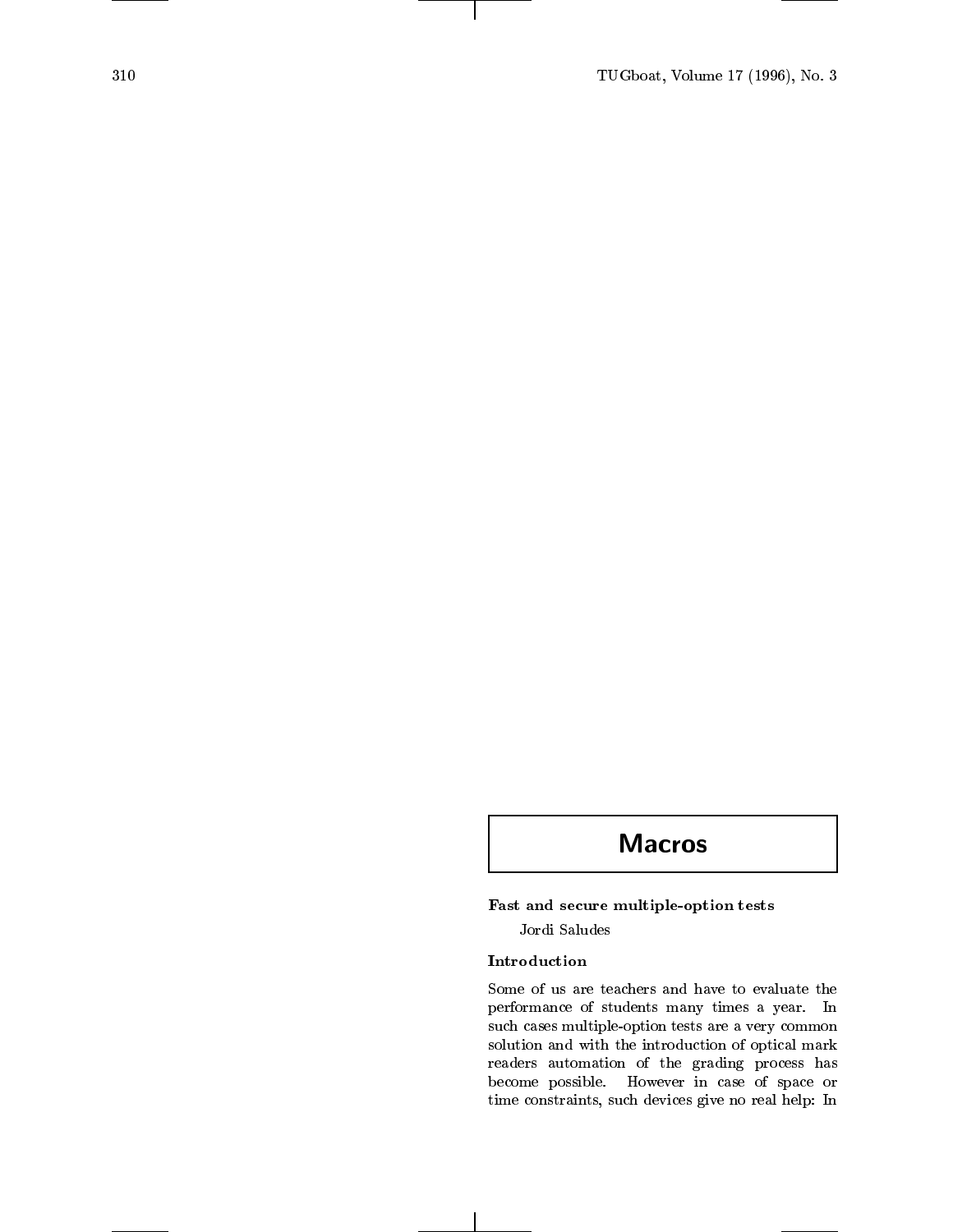# **Macros**

## Fast and secure multiple-option tests

Jordi Saludes

Some of us are teachers and have to evaluate the performance of students many times a year. In such cases multiple-option tests are a very common solution and with the introduction of optical mark readers automation of the grading process has become possible. However in case of space or time constraints, such devices give no real help: In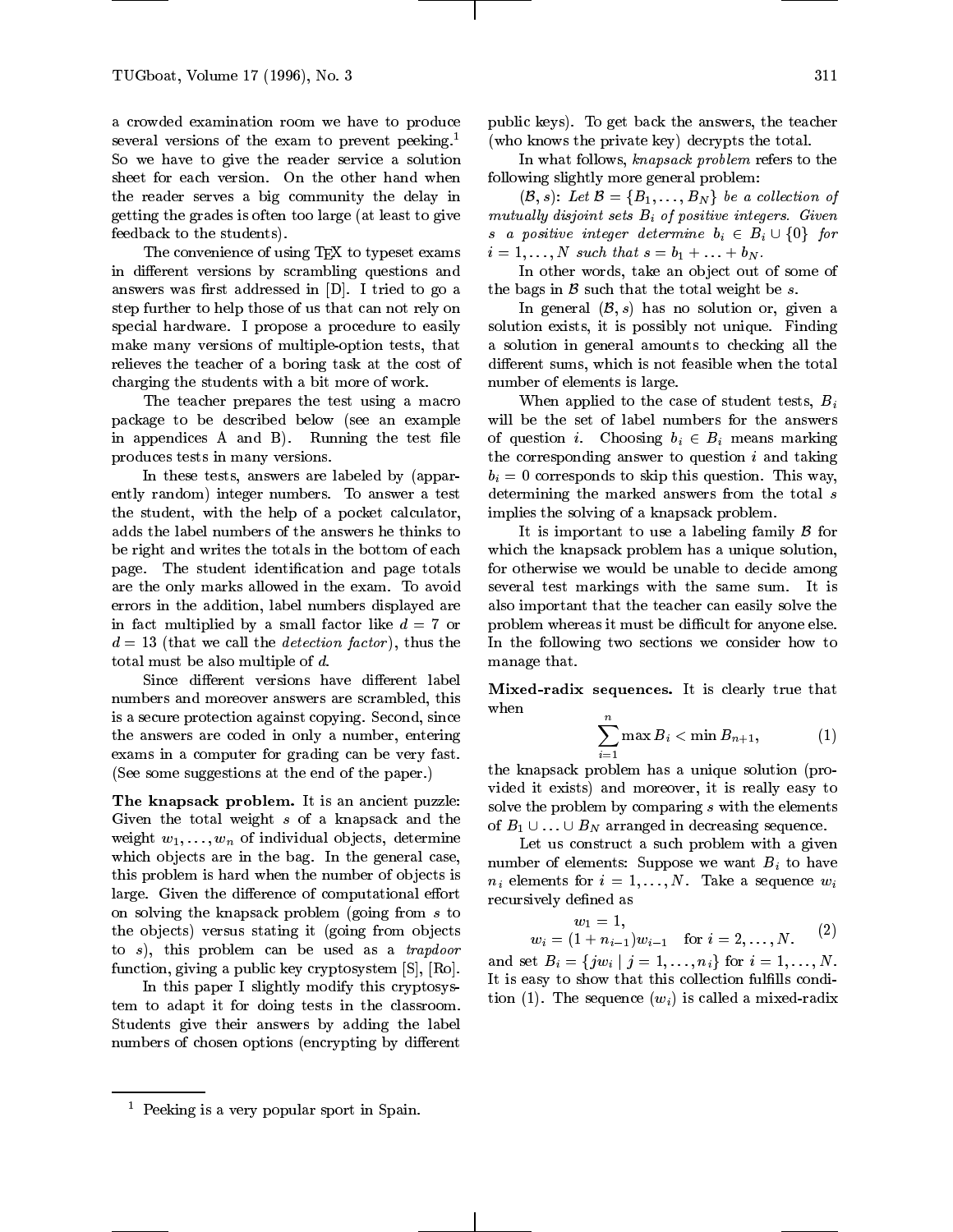a crowded examination room we have to produce several versions of the exam to prevent peeking.<sup>1</sup> So we have to give the reader service a solution sheet for each version. On the other hand when the reader serves a big community the delay in getting the grades is often too large (at least to give feedback to the students).

The convenience of using T<sub>EX</sub> to typeset exams in different versions by scrambling questions and answers was first addressed in  $[D]$ . I tried to go a step further to help those of us that can not rely on special hardware. I propose a procedure to easily make many versions of multiple-option tests, that relieves the teacher of a boring task at the cost of charging the students with a bit more of work.

The teacher prepares the test using a macro package to be described below (see an example in appendices A and B). Running the test file produces tests in many versions.

In these tests, answers are labeled by (apparently random) integer numbers. To answer a test the student, with the help of a pocket calculator, adds the label numbers of the answers he thinks to be right and writes the totals in the bottom of each page. The student identification and page totals are the only marks allowed in the exam. To avoid errors in the addition, label numbers displayed are in fact multiplied by a small factor like  $d = 7$  or  $d = 13$  (that we call the *detection factor*), thus the total must be also multiple of d.

Since different versions have different label numbers and moreover answers are scrambled, this is a secure protection against copying. Second, since the answers are coded in only a number, entering exams in a computer for grading can be very fast. (See some suggestions at the end of the paper.)

The knapsack problem. It is an ancient puzzle: Given the total weight <sup>s</sup> of a knapsack and the weight  $w_1,\ldots,w_n$  of individual objects, determine which objects are in the bag. In the general case, this problem is hard when the number of objects is large. Given the difference of computational effort on solving the knapsack problem (going from <sup>s</sup> to the objects) versus stating it (going from objects to  $s$ ), this problem can be used as a  $trapdoor$ function, giving a public key cryptosystem [S], [Ro].

In this paper I slightly modify this cryptosystem to adapt it for doing tests in the classroom. Students give their answers by adding the label numbers of chosen options (encrypting by different public keys). To get back the answers, the teacher (who knows the private key) decrypts the total.

In what follows, knapsack problem refers to the following slightly more general problem:

 $(\mathcal{B}, s)$ : Let  $\mathcal{B} = \{B_1, \ldots, B_N\}$  be a collection of mutually disjoint sets  $B_i$  of positive integers. Given s a positive integer determine  $b_i \in B_i \cup \{0\}$  for  $i = 1,\ldots,N$  such that  $s = b_1 + \ldots + b_N$ .

In other words, take an object out of some of the bags in  $\beta$  such that the total weight be s.

In general  $(\mathcal{B}, s)$  has no solution or, given a solution exists, it is possibly not unique. Finding a solution in general amounts to checking all the different sums, which is not feasible when the total number of elements is large.

When applied to the case of student tests,  $B_i$ will be the set of label numbers for the answers of question *i*. Choosing  $b_i \in B_i$  means marking the corresponding answer to question  $i$  and taking  $b_i = 0$  corresponds to skip this question. This way, determining the marked answers from the total s implies the solving of a knapsack problem.

It is important to use a labeling family  $\beta$  for which the knapsack problem has a unique solution, for otherwise we would be unable to decide among several test markings with the same sum. It is also important that the teacher can easily solve the problem whereas it must be difficult for anyone else. In the following two sections we consider how to manage that.

Mixed-radix sequences. It is clearly true that when

$$
\sum_{i=1}^n \max B_i < \min B_{n+1}, \qquad \qquad (1)
$$

the knapsack problem has a unique solution (provided it exists) and moreover, it is really easy to solve the problem by comparing  $s$  with the elements of  $B_1 \cup \ldots \cup B_N$  arranged in decreasing sequence.

Let us construct a such problem with a given number of elements: Suppose we want  $B_i$  to have  $n_i$  elements for  $i = 1, \ldots, N$ . Take a sequence  $w_i$ recursively defined as

$$
w_1 = 1,
$$
  
\n
$$
w_i = (1 + n_{i-1})w_{i-1} \text{ for } i = 2, ..., N.
$$
 (2)

and set  $B_i = \{j w_i \mid j = 1, \ldots, n_i\}$  for  $i = 1, \ldots, N$ . It is easy to show that this collection fulfills condition (1). The sequence  $(w_i)$  is called a mixed-radix

<sup>1</sup> Peeking is a very popular sport in Spain.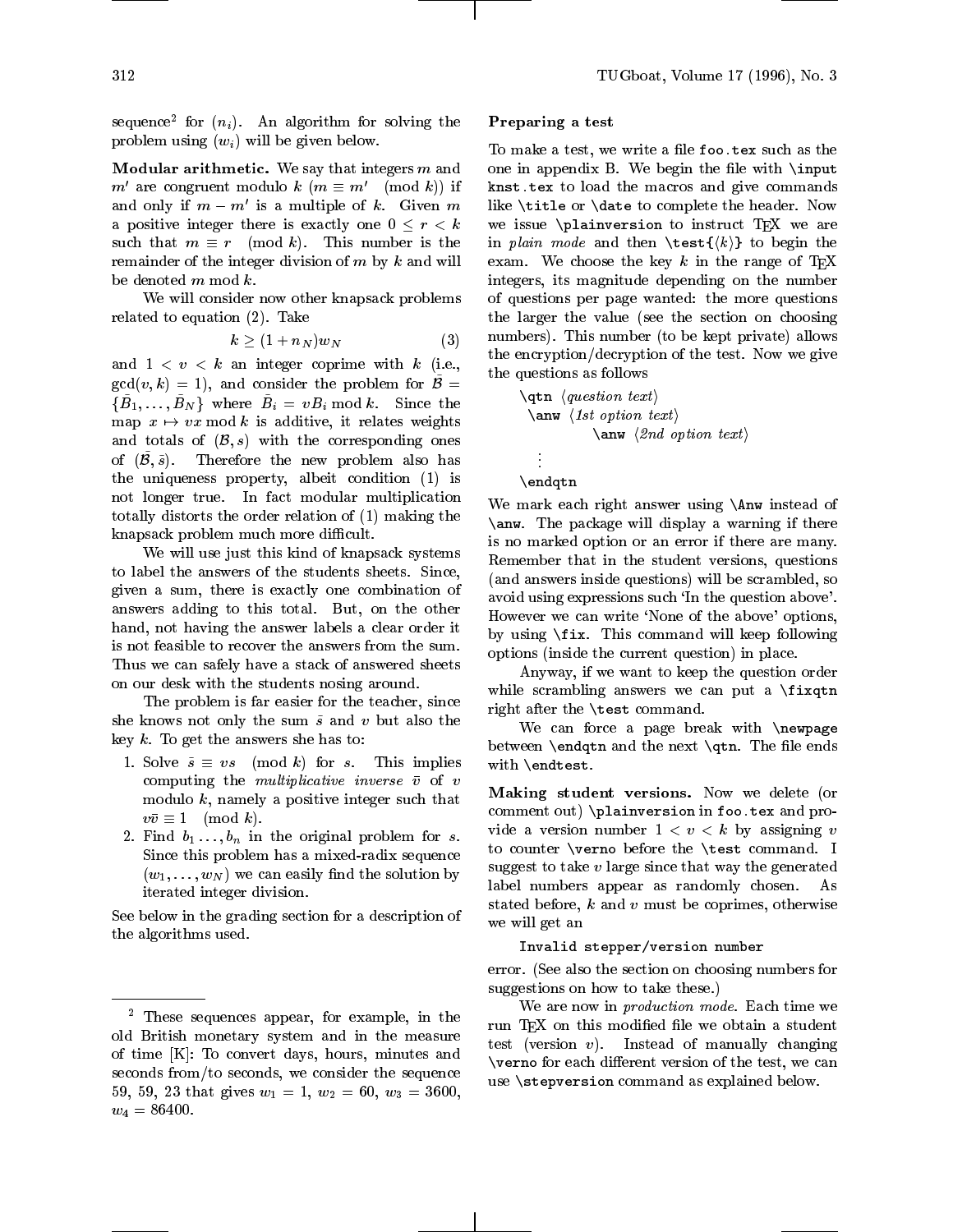sequence for  $(n_i)$ . An algorithm for solving the **Fr** problem using  $(w_i)$  will be given below.

**Modular arithmetic.** We say that integers  $m$  and  $m'$  are congruent modulo  $k$   $(m \equiv m' \pmod{k} )$  if and only if  $m - m'$  is a multiple of k. Given m a positive integer there is exactly one  $0 \leq r \leq k$ such that  $m \equiv r \pmod{k}$ . This number is the remainder of the integer division of  $m$  by  $k$  and will be denoted <sup>m</sup> mod k.

We will consider now other knapsack problems related to equation (2). Take

$$
k \geq (1+n_N)w_N \qquad \qquad (3) \qquad \textbf{nu}
$$

and  $1 < v < k$  an integer coprime with k (i.e.,  $\gcd(v, k) = 1$ , and consider the problem for  $\tilde{\mathcal{B}} =$  $\{B_1,\ldots,B_N\}$  where  $B_i\,=\,vB_i\;\textrm{mod}\;k.$  Since the map  $x \mapsto vx$  mod k is additive, it relates weights and totals of  $(\mathcal{B}, s)$  with the corresponding ones of  $(\tilde{\beta}, \tilde{s})$ . Therefore the new problem also has the uniqueness property, albeit condition (1) is not longer true. In fact modular multiplication totally distorts the order relation of (1) making the knapsack problem much more difficult.

We will use just this kind of knapsack systems to label the answers of the students sheets. Since, given a sum, there is exactly one combination of answers adding to this total. But, on the other hand, not having the answer labels a clear order it is not feasible to recover the answers from the sum. Thus we can safely have a stack of answered sheets on our desk with the students nosing around.

The problem is far easier for the teacher, since she knows not only the sum  $\tilde{s}$  and v but also the key  $k$ . To get the answers she has to:

- 1. Solve  $\tilde{s} \equiv vs \pmod{k}$  for s. This implies computing the *multiplicative inverse*  $\bar{v}$  of *v* modulo  $k$ , namely a positive integer such that  $v\bar{v} \equiv 1 \pmod{k}.$
- 2. Find  $b_1 \ldots, b_n$  in the original problem for s. Since this problem has a mixed-radix sequence  $(w_1, \ldots, w_N)$  we can easily find the solution by iterated integer division.

See below in the grading section for a description of the algorithms used.

#### Preparing a test

To make a test, we write a file foo.tex such as the one in appendix B. We begin the file with  $\infty$ knst.tex to load the macros and give commands like \title or \date to complete the header. Now we issue  $\alpha$  to instruct TEX we are in plain mode and then  $\text{k}}$  to begin the exam. We choose the key k in the range of  $T_F X$ integers, its magnitude depending on the number of questions per page wanted: the more questions the larger the value (see the section on choosing numbers). This number (to be kept private) allows the encryption/decryption of the test. Now we give the questions as follows

\qtn hquestion text i \anw h1st option text i \anw h2nd option text i \endqtn

We mark each right answer using \Anw instead of \anw. The package will display a warning if there is no marked option or an error if there are many. Remember that in the student versions, questions (and answers inside questions) will be scrambled, so avoid using expressions such `In the question above'. However we can write `None of the above' options, by using \fix. This command will keep following options (inside the current question) in place.

Anyway, if we want to keep the question order while scrambling answers we can put a \fixqtn right after the \test command.

We can force a page break with \newpage between **\endqtn** and the next  $\q$ tn. The file ends with \endtest.

Making student versions. Now we delete (or comment out) \plainversion in foo.tex and provide a version number  $1 < v < k$  by assigning v to counter \verno before the \test command. I suggest to take  $v$  large since that way the generated label numbers appear as randomly chosen. As stated before,  $k$  and  $v$  must be coprimes, otherwise we will get an

#### Invalid stepper/version number

error. (See also the section on choosing numbers for suggestions on how to take these.)

We are now in production mode. Each time we run TEX on this modified file we obtain a student test (version v). Instead of manually changing  $\sqrt{v}$  verno for each different version of the test, we can use \stepversion command as explained below.

<sup>2</sup> These sequences appear, for example, in the old British monetary system and in the measure of time [K]: To convert days, hours, minutes and seconds from/to seconds, we consider the sequence 59, 59, 23 that gives  $w_1 = 1$ ,  $w_2 = 60$ ,  $w_3 = 3600$ ,  $w_4 = 86400.$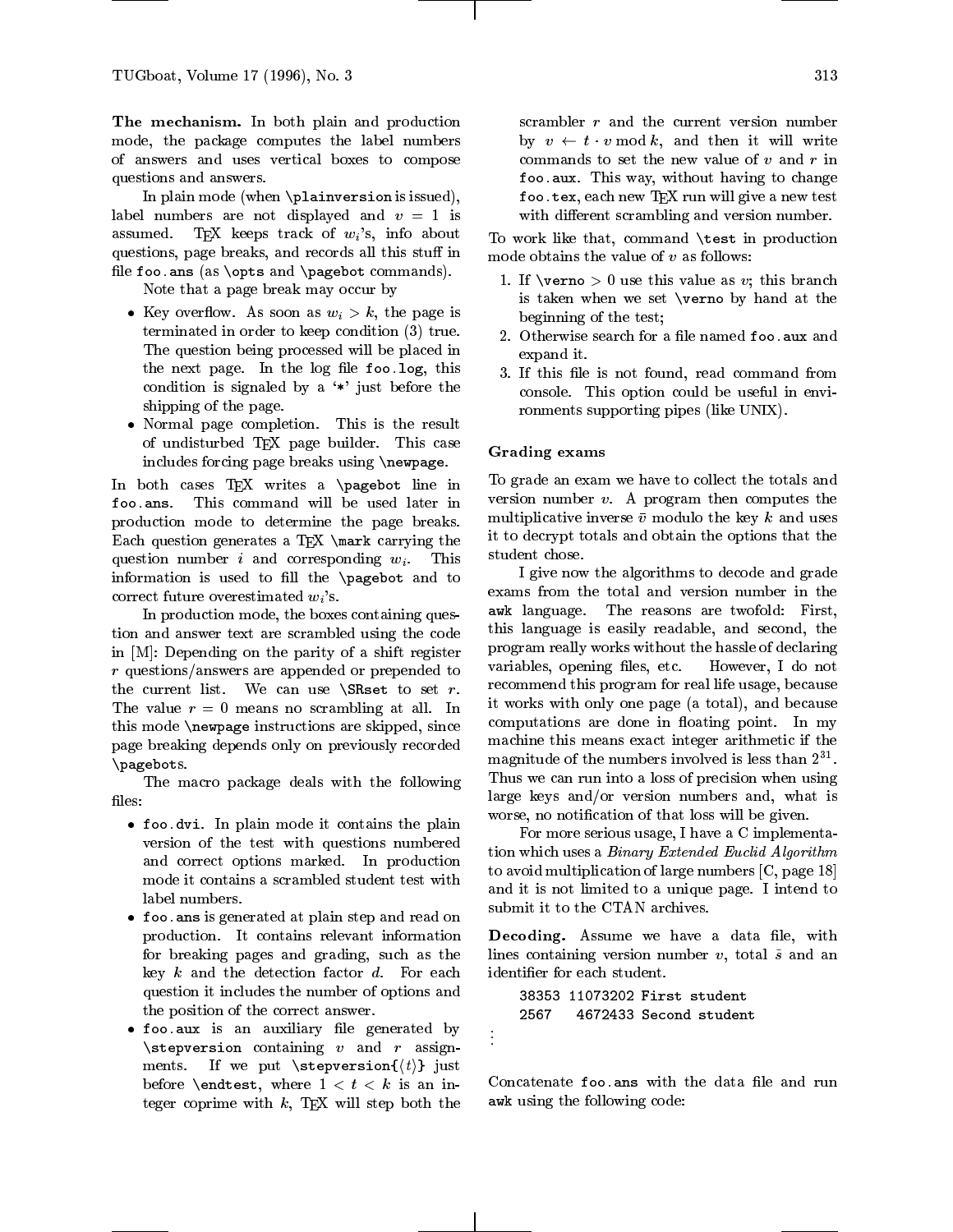The mechanism. In both plain and production mode, the package computes the label numbers of answers and uses vertical boxes to compose questions and answers.

In plain mode (when \plainversion is issued), label numbers are not displayed and  $v = 1$  is assumed. TFX keeps track of  $w_i$ 's, info about questions, page breaks, and records all this stuff in file foo.ans (as  $\opts$  and  $\pagebot$  commands).

Note that a page break may occur by

- Key overflow. As soon as  $w_i > k$ , the page is terminated in order to keep condition (3) true. The question being processed will be placed in the next page. In the log file foo.log, this condition is signaled by a  $*$  just before the shipping of the page.
- $\bullet$  Normal page completion. This is the result of undisturbed TEX page builder. This case includes forcing page breaks using \newpage.

In both cases TEX writes a \pagebot line in foo.ans. This command will be used later in production mode to determine the page breaks. Each question generates a T<sub>EX</sub> \mark carrying the question number i and corresponding  $w_i$ . This information is used to fill the  $\pa$ gebot and to correct future overestimated  $w_i$ 's.

In production mode, the boxes containing question and answer text are scrambled using the code in [M]: Depending on the parity of a shift register <sup>r</sup> questions/answers are appended or prepended to the current list. We can use  $\S$ Rset to set r. The value  $r = 0$  means no scrambling at all. In this mode \newpage instructions are skipped, since page breaking depends only on previously recorded \pagebots.

The macro package deals with the following

- $\bullet$  foo.dvi. In plain mode it contains the plain  $\qquad \qquad ,$ version of the test with questions numbered and correct options marked. In production mode it contains a scrambled student test with label numbers.
- $\bullet$  foo.ans is generated at plain step and read on  $\bullet$ production. It contains relevant information for breaking pages and grading, such as the key  $k$  and the detection factor  $d$ . For each question it includes the number of options and the position of the correct answer.
- $\bullet$  foo.aux is an auxiliary file generated by  $\,$  .  $\setminus$ stepversion containing v and r assignments. If we put  $\step{t}$  just before \endtest, where  $1 < t < k$  is an integer coprime with  $k$ , TEX will step both the

scrambler  $r$  and the current version number by  $v \leftarrow t \cdot v \mod k$ , and then it will write commands to set the new value of  $v$  and  $r$  in foo.aux. This way, without having to change foo.tex, each new TFX run will give a new test with different scrambling and version number.

To work like that, command \test in production mode obtains the value of  $v$  as follows:

- 1. If  $\verno > 0$  use this value as v; this branch is taken when we set \verno by hand at the beginning of the test;
- 2. Otherwise search for a file named foo.aux and expand it.
- 3. If this file is not found, read command from console. This option could be useful in environments supporting pipes (like UNIX).

### Grading exams

To grade an exam we have to collect the totals and version number  $v$ . A program then computes the multiplicative inverse  $\bar{v}$  modulo the key k and uses it to decrypt totals and obtain the options that the student chose.

I give now the algorithms to decode and grade exams from the total and version number in the awk language. The reasons are twofold: First, this language is easily readable, and second, the program really works without the hassle of declaring variables, opening files, etc. However, I do not recommend this program for real life usage, because it works with only one page (a total), and because computations are done in floating point. In my machine this means exact integer arithmetic if the  $\max$  magnitude of the numbers involved is less than  $2$ Thus we can run into a loss of precision when using large keys and/or version numbers and, what is worse, no notication of that loss will be given.

For more serious usage, I have a C implementation which uses a *Binary Extended Euclid Algorithm* to avoid multiplication of large numbers [C, page 18] and it is not limited to a unique page. I intend to submit it to the CTAN archives.

Decoding. Assume we have a data file, with lines containing version number  $v$ , total  $\tilde{s}$  and an identier for each student.

```
38353 11073202 First student
2567
      4672433 Second student
```

```
.
.
```
Concatenate foo ans with the data file and run awk using the following code: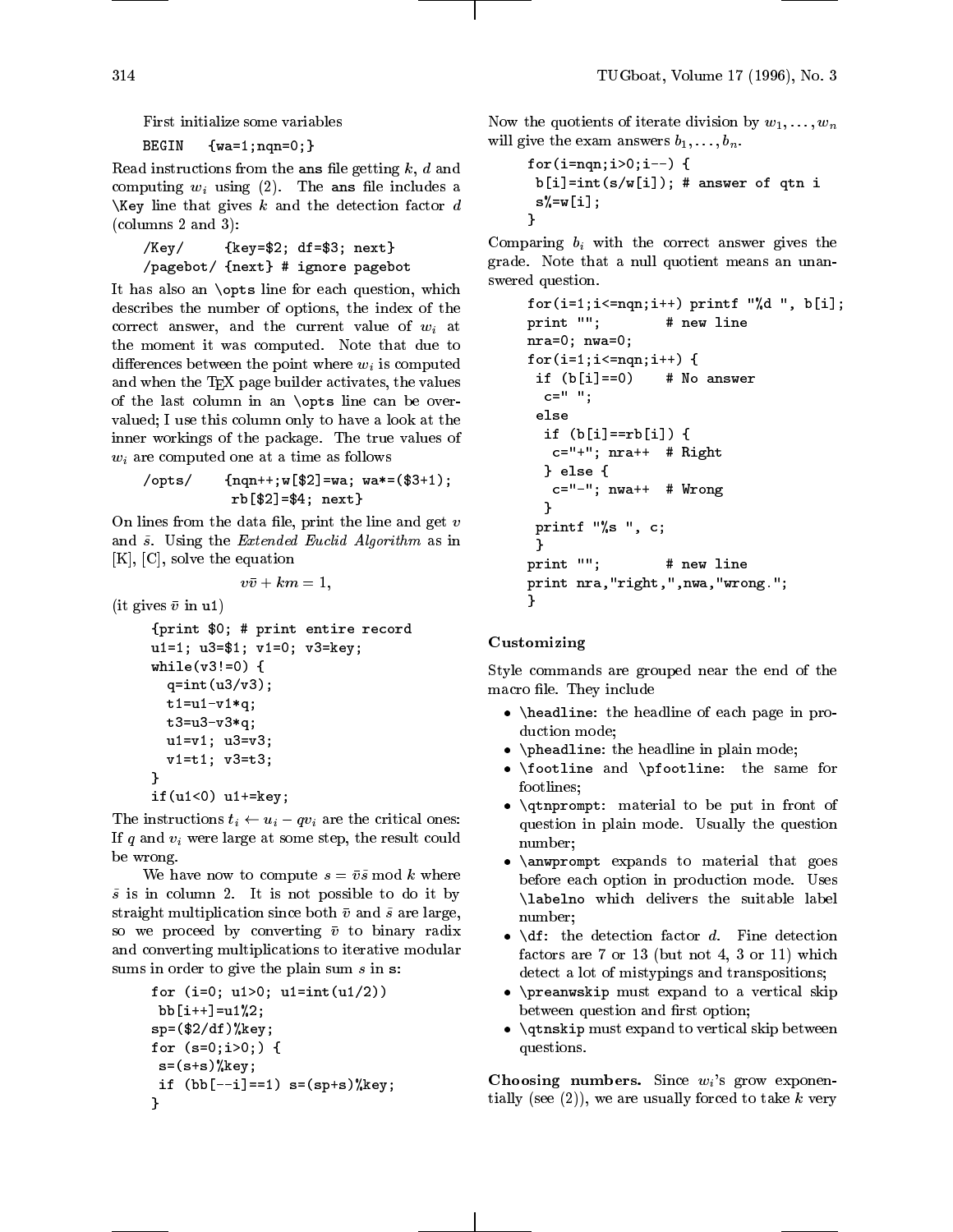First initialize some variables

# BEGIN {wa=1;nqn=0;}

Read instructions from the ans file getting  $k, d$  and computing  $w_i$  using (2). The ans file includes a \Key line that gives  $k$  and the detection factor  $d$ (columns 2 and 3):

```
/Key/ {key=$2; df=$3; next}
/pagebot/ {next} # ignore pagebot
```
It has also an \opts line for each question, which describes the number of options, the index of the correct answer, and the current value of  $w_i$  at the moment it was computed. Note that due to differences between the point where  $w_i$  is computed and when the TEX page builder activates, the values of the last column in an \opts line can be over valued; I use this column only to have a look at the inner workings of the package. The true values of  $w_i$  are computed one at a time as follows

$$
\verb|55|/ \{nqn++; w[$2]=wa; wa*=($3+1);rb[$2]=$4; next}
$$

On lines from the data file, print the line and get  $v$ and  $\tilde{s}$ . Using the *Extended Euclid Algorithm* as in [K], [C], solve the equation

$$
v\bar{v}+km=1,
$$

(it gives  $\bar{v}$  in u1)

```
{print $0; # print entire record
u1=1; u3=$1; v1=0; v3=key;
while(v3!=0) {
  q=int(u3/v3);t1 = u1 - v1 * q;t3=u3-v3*a;u1=v1; u3=v3;
  v1=t1; v3=t3;
}
if(u1<0) u1+=key;
```
The instructions  $t_i \leftarrow u_i - qv_i$  are the critical ones: If  $q$  and  $v_i$  were large at some step, the result could be wrong.

We have now to compute  $s = \bar{v}\tilde{s}$  mod k where  $\tilde{s}$  is in column 2. It is not possible to do it by straight multiplication since both  $\bar{v}$  and  $\tilde{s}$  are large, so we proceed by converting  $\bar{v}$  to binary radix and converting multiplications to iterative modular sums in order to give the plain sum  $s$  in  $s$ :

```
for (i=0; u1>0; u1=int(u1/2))
bb[i++] = u1%2;
sp=(\$2/df)\%key;
for (s=0;i>0;) {
 s=(s+s)\%kev;if (bb[--i]=-1) s=(s p+s)%key;
}
```
Now the quotients of iterate division by  $w_1,\ldots,w_n$ will give the exam answers  $b_1,\ldots,b_n$ .

```
for(i = nqn; i > 0; i --) {
b[i]=int(s/w[i]); # answer of qtn i
 s%=w[i];
}
```
Comparing  $b_i$  with the correct answer gives the grade. Note that a null quotient means an unanswered question.

```
for(i=1;i<=nqn;i++) printf "%d", b[i];
print ""; # new line
nra=0; nwa=0;
for(i=1;i <= nqn; i + +) {
 if (b[i] == 0) # No answer
  c = " ";
 else
  if (b[i] == rb[i]) {
   c="++"; nra++ # Right
  } else {
   c=" -" -"; nwa++ # Wrong
  }
 printf "%s ", c;
 Ł
 \overline{a} , and the set of \overline{a} , and the set of \overline{a}print ""; # new line
print nra,"right,",nwa,"wrong.";
ŀ
}
```
#### Customizing

Style commands are grouped near the end of the macro file. They include

- $\bullet$  \headline: the headline of each page in production mode;
- $\bullet$   $\cdot$  \pheadline: the headline in plain mode;
- $\bullet$  \footline and \pfootline: the same for footlines;
- $\bullet$  \qtnprompt: material to be put in front of question in plain mode. Usually the question number;
- $\bullet$  \anwprompt expands to material that goes before each option in production mode. Uses \labelno which delivers the suitable label number;
- $\bullet$  \df: the detection factor  $d$ . Fine detection factors are 7 or 13 (but not 4, 3 or 11) which detect a lot of mistypings and transpositions;
- $\bullet$  \preanwskip must expand to a vertical skip  $\hspace{0.1mm}$ between question and first option;
- $\bullet$   $\gamma$  \qtnskip must expand to vertical skip between questions.

Choosing numbers. Since  $w_i$ 's grow exponentially (see  $(2)$ ), we are usually forced to take k very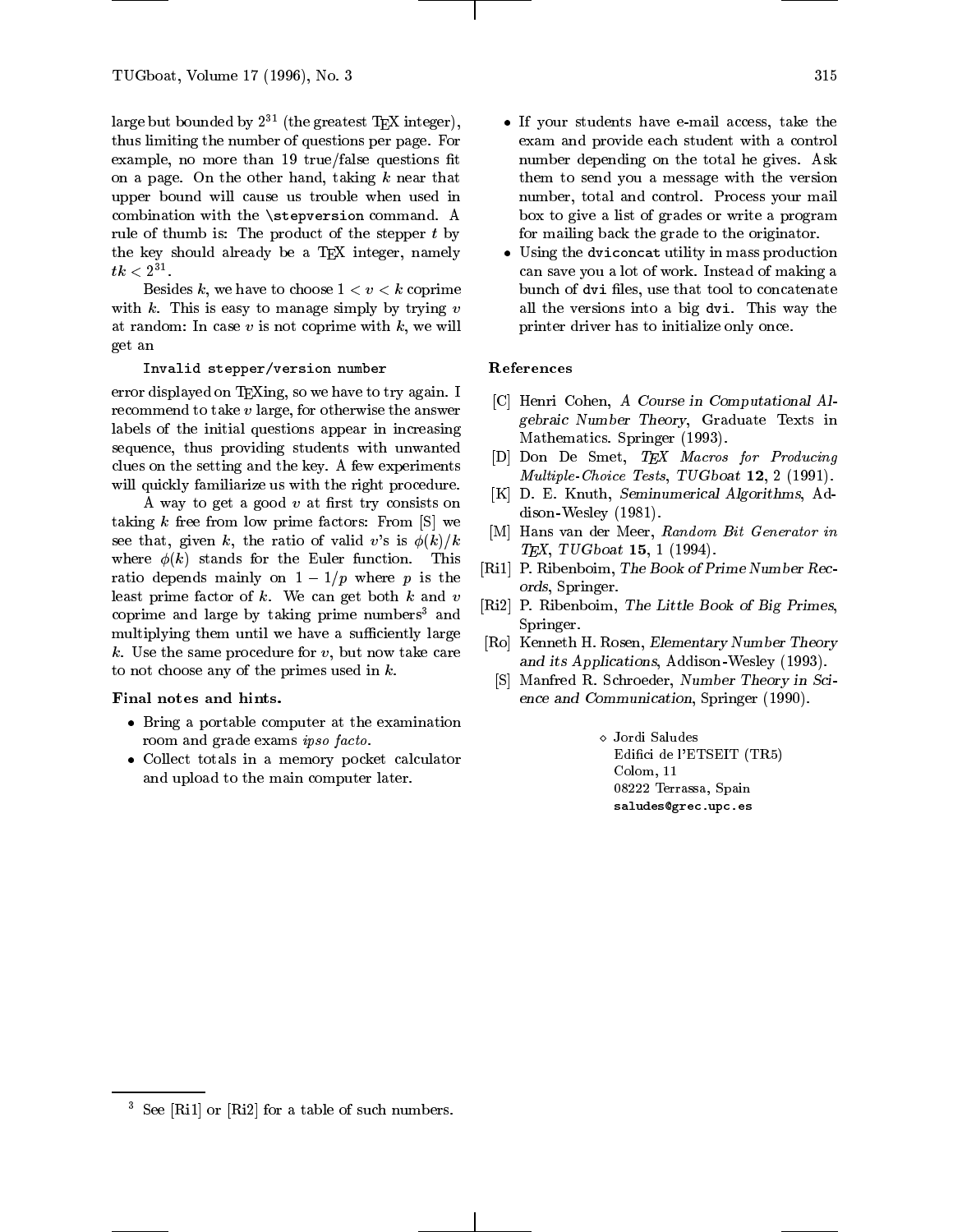large but bounded by  $2^{31}$  (the greatest T<sub>EX</sub> integer), thus limiting the number of questions per page. For example, no more than  $19$  true/false questions fit on a page. On the other hand, taking  $k$  near that upper bound will cause us trouble when used in combination with the \stepversion command. A rule of thumb is: The product of the stepper  $t$  by the key should already be a TEX integer, namely  $\iota\kappa < 2$ .

Besides k, we have to choose  $1 < v < k$  coprime with  $k$ . This is easy to manage simply by trying  $v$ at random: In case  $v$  is not coprime with  $k$ , we will get an

#### Invalid stepper/version number

error displayed on TEXing, so we have to try again. I recommend to take <sup>v</sup> large, for otherwise the answer labels of the initial questions appear in increasing sequence, thus providing students with unwanted clues on the setting and the key. A few experiments will quickly familiarize us with the right procedure.

A way to get a good  $v$  at first try consists on taking  $k$  free from low prime factors: From  $[S]$  we see that, given k, the ratio of valid v's is  $\phi(k)/k$ where  $\phi(k)$  stands for the Euler function. This ratio depends mainly on  $1-1/p$  where p is the least prime factor of  $k$ . We can get both  $k$  and  $v$ coprime and large by taking prime numbers<sup>3</sup> and multiplying them until we have a sufficiently large k. Use the same procedure for  $v$ , but now take care to not choose any of the primes used in  $k$ .

#### Final notes and hints.

- $\bullet$  -Bring a portable computer at the examination room and grade exams ipso facto.
- $\bullet$  Collect totals in a memory pocket calculator  $\hspace{0.1mm}$ and upload to the main computer later.
- $\bullet$  If your students have e-mail access, take the exam and provide each student with a control number depending on the total he gives. Ask them to send you a message with the version number, total and control. Process your mail box to give a list of grades or write a program for mailing back the grade to the originator.
- $\bullet$  Using the dviconcat utility in mass production can save you a lot of work. Instead of making a bunch of dvi files, use that tool to concatenate all the versions into a big dvi. This way the printer driver has to initialize only once.

#### References

- [C] Henri Cohen, A Course in Computational Algebraic Number Theory, Graduate Texts in Mathematics. Springer (1993).
- [D] Don De Smet, TEX Macros for Producing Multiple-Choice Tests, TUGboat 12, 2 (1991).
- [K] D. E. Knuth, Seminumerical Algorithms, Addison-Wesley (1981).
- [M] Hans van der Meer, Random Bit Generator in  $T_{F}X$ , TUGboat 15, 1 (1994).
- [Ri1] P. Ribenboim, The Book of Prime Number Records, Springer.
- [Ri2] P. Ribenboim, The Little Book of Big Primes, Springer.
- [Ro] Kenneth H. Rosen, Elementary Number Theory and its Applications, Addison -Wesley (1993).
- [S] Manfred R. Schroeder, Number Theory in Science and Communication, Springer (1990).

 Jordi Saludes Edici de l'ETSEIT (TR5) Colom, 11 08222 Terrassa, Spain saludes@grec.upc.es

 $\sim$  5ee  $|R11|$  or  $|R12|$  for a table of such numbers.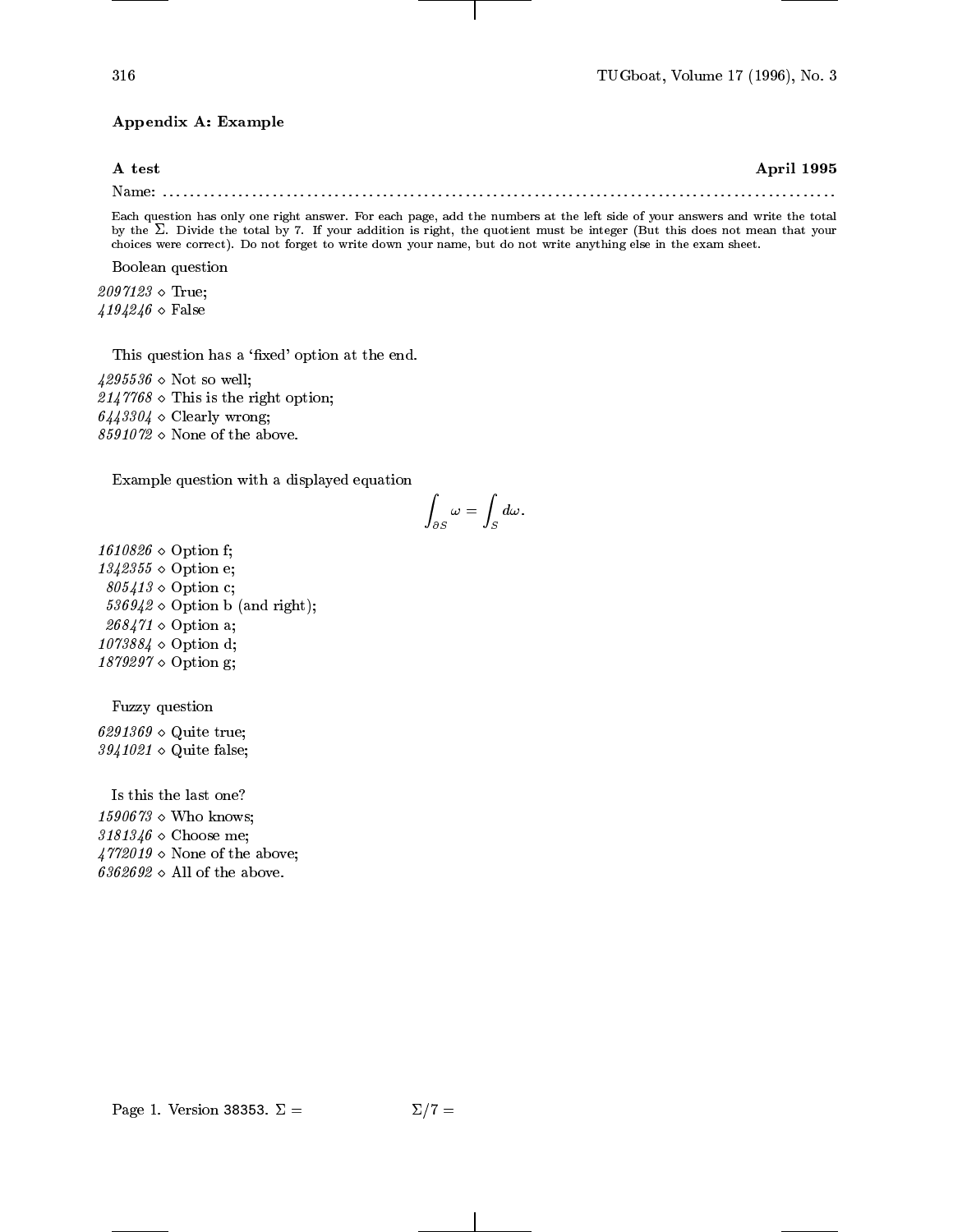### Appendix A: Example

# A test April 1995 Name: ::::::::::::::::::::::::::::::::::::::::::::::::::::::::::::::::::::::::::::::::::::::::::::::::::

Each question has only one right answer. For each page, add the numbers at the left side of your answers and write the total by the  $\omega$ . Divide the total by  $r$ , if your addition is right, the duotient must be integer (But this does not mean that your choices were correct). Do not forget to write down your name, but do not write anything else in the exam sheet.

Boolean question

 $2097123 \diamond$  True;  $4194246 \diamond$  False

This question has a 'fixed' option at the end.

 $4295536 \diamond$  Not so well;  $2147768 \diamond$  This is the right option;  $6443304 \diamond$  Clearly wrong;  $8591072 \diamond$  None of the above.

Example question with a displayed equation

$$
\int_{\partial S}\omega=\int_S d\omega.
$$

 $1610826 \diamond$  Option f;  $1342355 \diamond$  Option e;  $805413 \diamond$  Option c;  $536942 \diamond$  Option b (and right);  $268471 \diamond$  Option a;  $1073884 \diamond$  Option d;  $1879297 \diamond$  Option g;

Fuzzy question

 $6291369 \diamond$  Quite true;  $3941021 \diamond$  Quite false;

Is this the last one?  $1590673 \diamond$  Who knows;  $3181346 \diamond$  Choose me;  $4772019 \diamond$  None of the above;  $6362692 \diamond$  All of the above.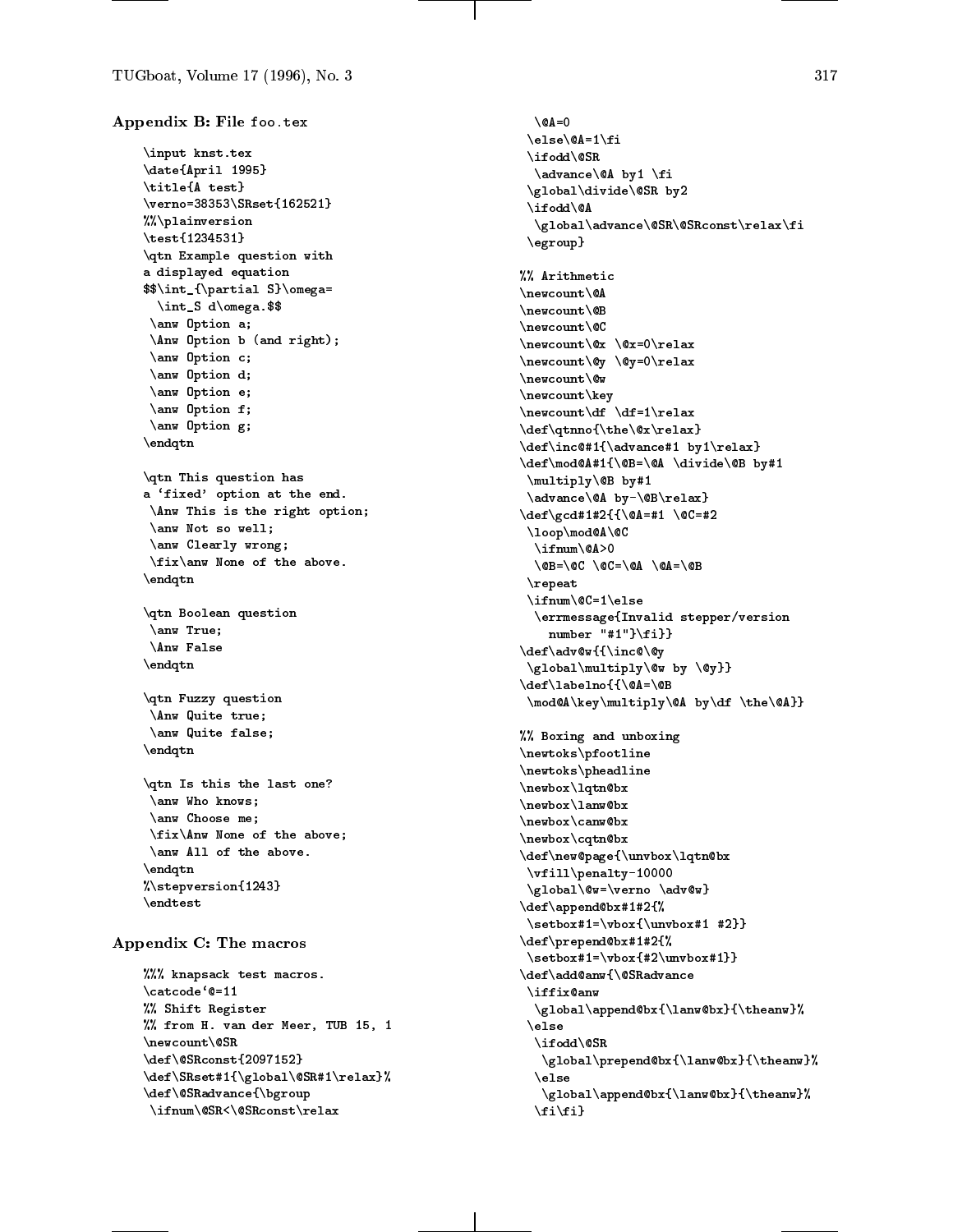```
Appendix B: File foo.tex
    \input knst.tex
    \date{April 1995}
    \title{A test}
    \verno=38353\SRset{162521}
    %%\plainversion
    \test{1234531}
    \qtn Example question with
    a displayed equation
    $$\int_{\partial S}\omega=
      \int_S d\omega.$$
     \anw Option a;
     \Anw Option b (and right);
     \anw Option c;
     \anw Option d;
     \anw Option e;
     \anw Option f;
     \anw Option g;
    \endqtn
    \qtn This question has
    a `fixed' option at the end.
     \Anw This is the right option;
     \anw Not so well;
     \anw Clearly wrong;
     \fix\anw None of the above.
    \endqtn
    \qtn Boolean question
     \anw True;
     \Anw False
    \endqtn
    \qtn Fuzzy question
     \Anw Quite true;
     \anw Quite false;
    \endqtn
    \qtn Is this the last one?
     \anw Who knows;
     \anw Choose me;
     \fix\Anw None of the above;
     \anw All of the above.
    \endqtn
    %\stepversion{1243}
    \endtest
Appendix C: The macros
    %%% knapsack test macros.
```

```
\catcode`@=11
%% Shift Register
%% from H. van der Meer, TUB 15, 1
\newcount\@SR
\def\@SRconst{2097152}
\def\SRset#1{\global\@SR#1\relax}%
\def\@SRadvance{\bgroup
\ifnum\@SR<\@SRconst\relax
```
 $\Q$ A=0 \else\@A=1\fi \ifodd\@SR \advance\@A by1 \fi \global\divide\@SR by2 \ifodd\@A \global\advance\@SR\@SRconst\relax\fi \egroup} %% Arithmetic  $\n\neq$  $\overline{\phantom{A}}$  . The countries of the countries of the countries of the countries of the countries of the countries of the countries of the countries of the countries of the countries of the countries of the countries of the \newcount\@B \newcount\@C \newcount\@x \@x=0\relax \newcount\@y \@y=0\relax \newcount\@w \newcount\key \newcount\df \df=1\relax \def\qtnno{\the\@x\relax} \def\inc@#1{\advance#1 by1\relax} \def\mod@A#1{\@B=\@A \divide\@B by#1 \multiply\@B by#1 \advance\@A by-\@B\relax} \def\gcd#1#2{{\@A=#1 \@C=#2 \loop\mod@A\@C \ifnum\@A>0 \@B=\@C \@C=\@A \@A=\@B \repeat \ifnum\@C=1\else \errmessage{Invalid stepper/version number "#1"}\fi}} \def\adv@w{{\inc@\@y \global\multiply\@w by \@y}} \def\labelno{{\@A=\@B \mod@A\key\multiply\@A by\df \the\@A}} %% Boxing and unboxing \newtoks\pfootline \newtoks\pheadline \newbox\lqtn@bx \newbox\lanw@bx \newbox\canw@bx \newbox\cqtn@bx \def\new@page{\unvbox\lqtn@bx \vfill\penalty-10000 \global\@w=\verno \adv@w} \def\append@bx#1#2{% \setbox#1=\vbox{\unvbox#1 #2}} \def\prepend@bx#1#2{% \setbox#1=\vbox{#2\unvbox#1}} \def\add@anw{\@SRadvance \iffix@anw \global\append@bx{\lanw@bx}{\theanw}% \else \ifodd\@SR \global\prepend@bx{\lanw@bx}{\theanw}% \else \global\append@bx{\lanw@bx}{\theanw}%  $\i\{f\}$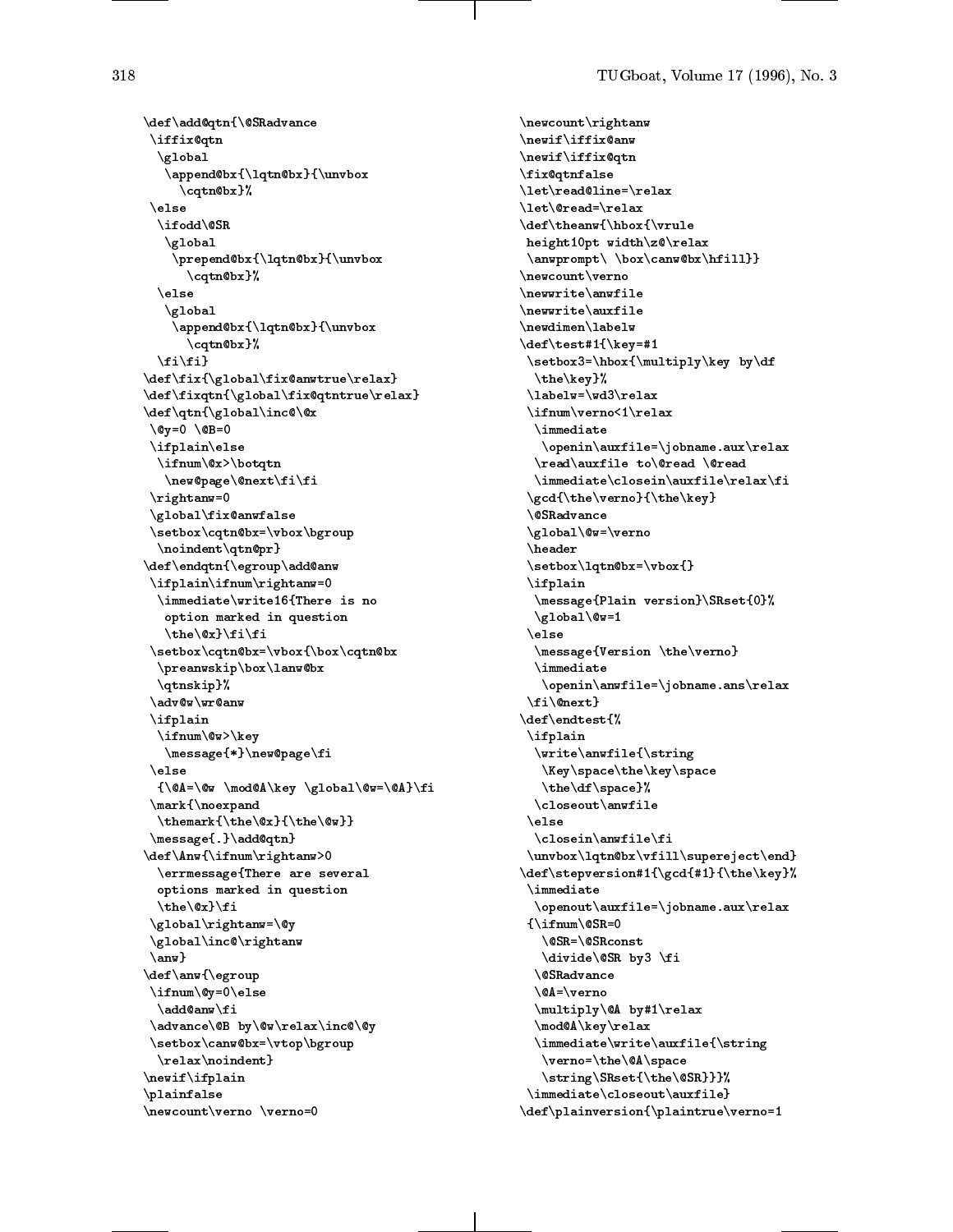\def\add@qtn{\@SRadvance \iffix@qtn \global \append@bx{\lqtn@bx}{\unvbox \cqtn@bx}% \else \ifodd\@SR \global \prepend@bx{\lqtn@bx}{\unvbox \cqtn@bx}%  $\ell$  $\blacksquare$ \global \append@bx{\lqtn@bx}{\unvbox \cqtn@bx}%  $\binom{f_i}{f_i}$ \def\fix{\global\fix@anwtrue\relax} \def\fixqtn{\global\fix@qtntrue\relax} \def\qtn{\global\inc@\@x  $\qquad \qquad \setminus @y=0 \quad \setminus @B=0$ \ifplain\else \ifnum\@x>\botqtn \new@page\@next\fi\fi \rightanw=0 \global\fix@anwfalse \setbox\cqtn@bx=\vbox\bgroup \noindent\qtn@pr} \def\endqtn{\egroup\add@anw \ifplain\ifnum\rightanw=0 \immediate\write16{There is no option marked in question \the\@x}\fi\fi \setbox\cqtn@bx=\vbox{\box\cqtn@bx \preanwskip\box\lanw@bx \qtnskip}% \adv@w\wr@anw \ifplain \ifnum\@w>\key \message{\*}\new@page\fi \else {\@A=\@w \mod@A\key \global\@w=\@A}\fi \mark{\noexpand \themark{\the\@x}{\the\@w}} \message{.}\add@qtn} \def\Anw{\ifnum\rightanw>0 \errmessage{There are several options marked in question \the\@x}\fi \global\rightanw=\@y \global\inc@\rightanw \anw} \def\anw{\egroup \ifnum\@y=0\else \add@anw\fi \advance\@B by\@w\relax\inc@\@y \setbox\canw@bx=\vtop\bgroup \relax\noindent} \newif\ifplain \plainfalse \newcount\verno \verno=0

```
\newcount\rightanw
\newif\iffix@anw
\newif\iffix@qtn
\fix@qtnfalse
\let\read@line=\relax
\let\@read=\relax
\def\theanw{\hbox{\vrule
height10pt width\z@\relax
 \anwprompt\ \box\canw@bx\hfill}}
\newcount\verno
\newwrite\anwfile
\newwrite\auxfile
\newdimen\labelw
\def\test#1{\key=#1
 \setbox3=\hbox{\multiply\key by\df
  \the\key}%
 \labelw=\wd3\relax
 \ifnum\verno<1\relax
  \immediate
  \blacksquare . The contract of the contract of the contract of the contract of the contract of the contract of the contract of the contract of the contract of the contract of the contract of the contract of the contract of the 
   \openin\auxfile=\jobname.aux\relax
  \read\auxfile to\@read \@read
  \immediate\closein\auxfile\relax\fi
 \gcd{\the\verno}{\the\key}
 \@SRadvance
 \global\@w=\verno
 \header
 \setbox\lqtn@bx=\vbox{}
 \ifplain
  \message{Plain version}\SRset{0}%
  \gtrsimglobal\&=1\else
  \message{Version \the\verno}
  \immediate
   \openin\anwfile=\jobname.ans\relax
 \fi\@next}
\def\endtest{%
 \ifplain
  \write\anwfile{\string
   \Key\space\the\key\space
   \the\df\space}%
  \closeout\anwfile
 \else
 \blacksquare\closein\anwfile\fi
 \unvbox\lqtn@bx\vfill\supereject\end}
\def\stepversion#1{\gcd{#1}{\the\key}%
 \immediate
  \openout\auxfile=\jobname.aux\relax
 {\ifnum\@SR=0
   \@SR=\@SRconst
   \divide\@SR by3 \fi
  \@SRadvance
  \@A=\verno
  \multiply\@A by#1\relax
  \mod@A\key\relax
  \immediate\write\auxfile{\string
   \verno=\the\@A\space
   \string\SRset{\the\@SR}}}%
 \immediate\closeout\auxfile}
\def\plainversion{\plaintrue\verno=1
```